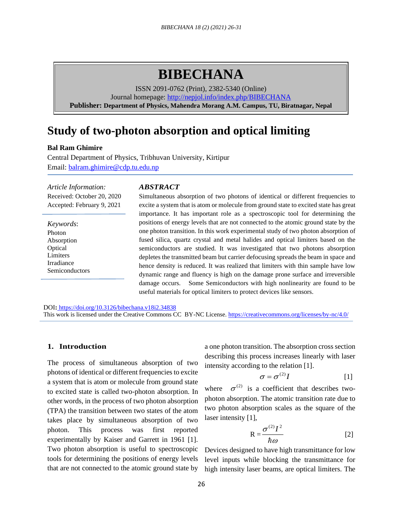# **BIBECHANA**

ISSN 2091-0762 (Print), 2382-5340 (Online) Journal homepage:<http://nepjol.info/index.php/BIBECHANA> **Publisher: Department of Physics, Mahendra Morang A.M. Campus, TU, Biratnagar, Nepal**

## **Study of two-photon absorption and optical limiting**

## **Bal Ram Ghimire**

Central Department of Physics, Tribhuvan University, Kirtipur Email: [balram.ghimire@cdp.tu.edu.np](mailto:balram.ghimire@cdp.tu.edu.np)

*Article Information:* Received: October 20, 2020 Accepted: February 9, 2021

*Keywords*: Photon Absorption **Optical** Limiters Irradiance Semiconductors

#### *ABSTRACT*

Simultaneous absorption of two photons of identical or different frequencies to excite a system that is atom or molecule from ground state to excited state has great importance. It has important role as a spectroscopic tool for determining the positions of energy levels that are not connected to the atomic ground state by the one photon transition. In this work experimental study of two photon absorption of fused silica, quartz crystal and metal halides and optical limiters based on the semiconductors are studied. It was investigated that two photons absorption depletes the transmitted beam but carrier defocusing spreads the beam in space and hence density is reduced. It was realized that limiters with thin sample have low dynamic range and fluency is high on the damage prone surface and irreversible damage occurs. Some Semiconductors with high nonlinearity are found to be useful materials for optical limiters to protect devices like sensors.

DOI**:** <https://doi.org/10.3126/bibechana.v18i2.34838> This work is licensed under the Creative Commons CC BY-NC License.<https://creativecommons.org/licenses/by-nc/4.0/>

### **1. Introduction**

The process of simultaneous absorption of two photons of identical or different frequencies to excite a system that is atom or molecule from ground state to excited state is called two-photon absorption. In other words, in the process of two photon absorption (TPA) the transition between two states of the atom takes place by simultaneous absorption of two photon. This process was first reported experimentally by Kaiser and Garrett in 1961 [1]. Two photon absorption is useful to spectroscopic tools for determining the positions of energy levels that are not connected to the atomic ground state by a one photon transition. The absorption cross section describing this process increases linearly with laser intensity according to the relation [1].

$$
\sigma = \sigma^{(2)}I \tag{1}
$$

where  $\sigma^{(2)}$  is a coefficient that describes twophoton absorption. The atomic transition rate due to two photon absorption scales as the square of the laser intensity [1],

$$
R = \frac{\sigma^{(2)}I^2}{\hbar\omega} \tag{2}
$$

Devices designed to have high transmittance for low level inputs while blocking the transmittance for high intensity laser beams, are optical limiters. The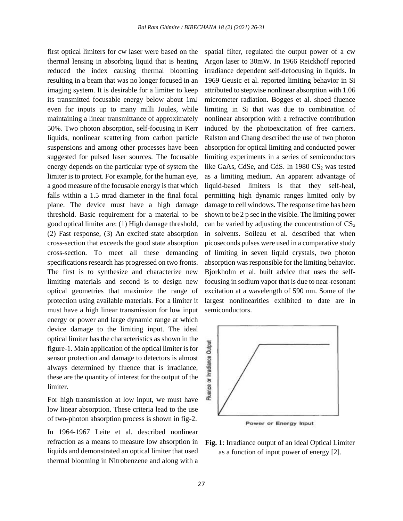first optical limiters for cw laser were based on the thermal lensing in absorbing liquid that is heating reduced the index causing thermal blooming resulting in a beam that was no longer focused in an imaging system. It is desirable for a limiter to keep its transmitted focusable energy below about 1mJ even for inputs up to many milli Joules, while maintaining a linear transmittance of approximately 50%. Two photon absorption, self-focusing in Kerr liquids, nonlinear scattering from carbon particle suspensions and among other processes have been suggested for pulsed laser sources. The focusable energy depends on the particular type of system the limiter is to protect. For example, for the human eye, a good measure of the focusable energy is that which falls within a 1.5 mrad diameter in the final focal plane. The device must have a high damage threshold. Basic requirement for a material to be good optical limiter are: (1) High damage threshold, (2) Fast response, (3) An excited state absorption cross-section that exceeds the good state absorption cross-section. To meet all these demanding specifications research has progressed on two fronts. The first is to synthesize and characterize new limiting materials and second is to design new optical geometries that maximize the range of protection using available materials. For a limiter it must have a high linear transmission for low input energy or power and large dynamic range at which device damage to the limiting input. The ideal optical limiter has the characteristics as shown in the figure-1. Main application of the optical limiter is for sensor protection and damage to detectors is almost always determined by fluence that is irradiance, these are the quantity of interest for the output of the limiter.

For high transmission at low input, we must have low linear absorption. These criteria lead to the use of two-photon absorption process is shown in fig-2.

In 1964-1967 Leite et al. described nonlinear refraction as a means to measure low absorption in liquids and demonstrated an optical limiter that used thermal blooming in Nitrobenzene and along with a

spatial filter, regulated the output power of a cw Argon laser to 30mW. In 1966 Reickhoff reported irradiance dependent self-defocusing in liquids. In 1969 Geusic et al. reported limiting behavior in Si attributed to stepwise nonlinear absorption with 1.06 micrometer radiation. Bogges et al. shoed fluence limiting in Si that was due to combination of nonlinear absorption with a refractive contribution induced by the photoexcitation of free carriers. Ralston and Chang described the use of two photon absorption for optical limiting and conducted power limiting experiments in a series of semiconductors like GaAs, CdSe, and CdS. In  $1980 \text{ CS}_2$  was tested as a limiting medium. An apparent advantage of liquid-based limiters is that they self-heal, permitting high dynamic ranges limited only by damage to cell windows. The response time has been shown to be 2 p sec in the visible. The limiting power can be varied by adjusting the concentration of  $CS<sub>2</sub>$ in solvents. Soileau et al. described that when picoseconds pulses were used in a comparative study of limiting in seven liquid crystals, two photon absorption was responsible for the limiting behavior. Bjorkholm et al. built advice that uses the selffocusing in sodium vapor that is due to near-resonant excitation at a wavelength of 590 nm. Some of the largest nonlinearities exhibited to date are in semiconductors.



Power or Energy Input

**Fig. 1**: Irradiance output of an ideal Optical Limiter as a function of input power of energy [2].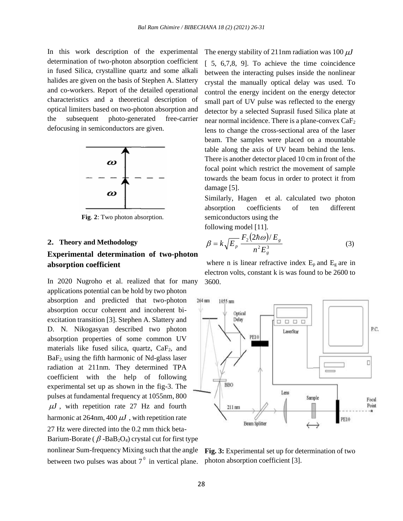In this work description of the experimental determination of two-photon absorption coefficient in fused Silica, crystalline quartz and some alkali halides are given on the basis of Stephen A. Slattery and co-workers. Report of the detailed operational characteristics and a theoretical description of optical limiters based on two-photon absorption and the subsequent photo-generated free-carrier defocusing in semiconductors are given.



**Fig**. **2**: Two photon absorption.

## **2. Theory and Methodology**

## **Experimental determination of two-photon absorption coefficient**

In 2020 Nugroho et al. realized that for many applications potential can be hold by two photon absorption and predicted that two-photon absorption occur coherent and incoherent biexcitation transition [3]. Stephen A. Slattery and D. N. Nikogasyan described two photon absorption properties of some common UV materials like fused silica, quartz,  $CaF<sub>2</sub>$ , and BaF2, using the fifth harmonic of Nd-glass laser radiation at 211nm. They determined TPA coefficient with the help of following experimental set up as shown in the fig-3. The pulses at fundamental frequency at 1055nm, 800  $\mu$ *J*, with repetition rate 27 Hz and fourth harmonic at  $264$ nm,  $400 \, \mu J$ , with repetition rate 27 Hz were directed into the 0.2 mm thick beta-Barium-Borate ( $\beta$ -BaB<sub>2</sub>O<sub>4</sub>) crystal cut for first type nonlinear Sum-frequency Mixing such that the angle between two pulses was about  $7<sup>0</sup>$  in vertical plane.

The energy stability of 211nm radiation was  $100 \, \mu J$ [ 5, 6,7,8, 9]. To achieve the time coincidence between the interacting pulses inside the nonlinear crystal the manually optical delay was used. To control the energy incident on the energy detector small part of UV pulse was reflected to the energy detector by a selected Suprasil fused Silica plate at near normal incidence. There is a plane-convex CaF<sup>2</sup> lens to change the cross-sectional area of the laser beam. The samples were placed on a mountable table along the axis of UV beam behind the lens. There is another detector placed 10 cm in front of the focal point which restrict the movement of sample towards the beam focus in order to protect it from damage [5].

Similarly, Hagen et al. calculated two photon absorption coefficients of ten different semiconductors using the following model [11].

$$
\beta = k \sqrt{E_p} \frac{F_2 (2\hbar \omega) / E_g}{n^2 E_g^3}
$$
 (3)

where n is linear refractive index  $E_p$  and  $E_g$  are in electron volts, constant k is was found to be 2600 to 3600.



**Fig. 3:** Experimental set up for determination of two photon absorption coefficient [3].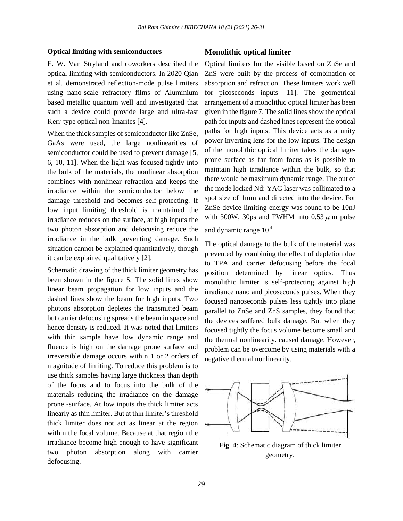### **Optical limiting with semiconductors**

E. W. Van Stryland and coworkers described the optical limiting with semiconductors. In 2020 Qian et al. demonstrated reflection-mode pulse limiters using nano-scale refractory films of Aluminium based metallic quantum well and investigated that such a device could provide large and ultra-fast Kerr-type optical non-linarites [4].

When the thick samples of semiconductor like ZnSe, GaAs were used, the large nonlinearities of semiconductor could be used to prevent damage [5, 6, 10, 11]. When the light was focused tightly into the bulk of the materials, the nonlinear absorption combines with nonlinear refraction and keeps the irradiance within the semiconductor below the damage threshold and becomes self-protecting. If low input limiting threshold is maintained the irradiance reduces on the surface, at high inputs the two photon absorption and defocusing reduce the irradiance in the bulk preventing damage. Such situation cannot be explained quantitatively, though it can be explained qualitatively [2].

Schematic drawing of the thick limiter geometry has been shown in the figure 5. The solid lines show linear beam propagation for low inputs and the dashed lines show the beam for high inputs. Two photons absorption depletes the transmitted beam but carrier defocusing spreads the beam in space and hence density is reduced. It was noted that limiters with thin sample have low dynamic range and fluence is high on the damage prone surface and irreversible damage occurs within 1 or 2 orders of magnitude of limiting. To reduce this problem is to use thick samples having large thickness than depth of the focus and to focus into the bulk of the materials reducing the irradiance on the damage prone -surface. At low inputs the thick limiter acts linearly as thin limiter. But at thin limiter's threshold thick limiter does not act as linear at the region within the focal volume. Because at that region the irradiance become high enough to have significant two photon absorption along with carrier defocusing.

## **Monolithic optical limiter**

Optical limiters for the visible based on ZnSe and ZnS were built by the process of combination of absorption and refraction. These limiters work well for picoseconds inputs [11]. The geometrical arrangement of a monolithic optical limiter has been given in the figure 7. The solid lines show the optical path for inputs and dashed lines represent the optical paths for high inputs. This device acts as a unity power inverting lens for the low inputs. The design of the monolithic optical limiter takes the damageprone surface as far from focus as is possible to maintain high irradiance within the bulk, so that there would be maximum dynamic range. The out of the mode locked Nd: YAG laser was collimated to a spot size of 1mm and directed into the device. For ZnSe device limiting energy was found to be 10nJ with 300W, 30ps and FWHM into  $0.53 \mu$  m pulse and dynamic range  $10<sup>4</sup>$ .

The optical damage to the bulk of the material was prevented by combining the effect of depletion due to TPA and carrier defocusing before the focal position determined by linear optics. Thus monolithic limiter is self-protecting against high irradiance nano and picoseconds pulses. When they focused nanoseconds pulses less tightly into plane parallel to ZnSe and ZnS samples, they found that the devices suffered bulk damage. But when they focused tightly the focus volume become small and the thermal nonlinearity. caused damage. However, problem can be overcome by using materials with a negative thermal nonlinearity.



**Fig**. **4**: Schematic diagram of thick limiter geometry.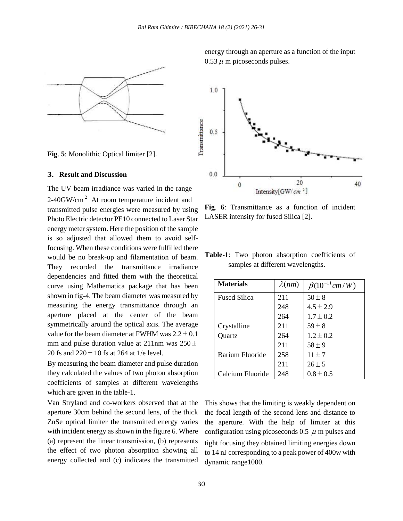

**Fig**. **5**: Monolithic Optical limiter [2].

## **3. Result and Discussion**

The UV beam irradiance was varied in the range 2-40GW/cm<sup>2</sup> At room temperature incident and transmitted pulse energies were measured by using Photo Electric detector PE10 connected to Laser Star energy meter system. Here the position of the sample is so adjusted that allowed them to avoid selffocusing. When these conditions were fulfilled there would be no break-up and filamentation of beam. They recorded the transmittance irradiance dependencies and fitted them with the theoretical curve using Mathematica package that has been shown in fig-4. The beam diameter was measured by measuring the energy transmittance through an aperture placed at the center of the beam symmetrically around the optical axis. The average value for the beam diameter at FWHM was  $2.2 \pm 0.1$ mm and pulse duration value at 211nm was  $250 \pm$ 20 fs and  $220 \pm 10$  fs at 264 at 1/e level.

By measuring the beam diameter and pulse duration they calculated the values of two photon absorption coefficients of samples at different wavelengths which are given in the table-1.

Van Stryland and co-workers observed that at the aperture 30cm behind the second lens, of the thick ZnSe optical limiter the transmitted energy varies with incident energy as shown in the figure 6. Where (a) represent the linear transmission, (b) represents the effect of two photon absorption showing all energy collected and (c) indicates the transmitted energy through an aperture as a function of the input  $0.53 \mu$  m picoseconds pulses.



**Fig**. **6**: Transmittance as a function of incident LASER intensity for fused Silica [2].

**Table-1**: Two photon absorption coefficients of samples at different wavelengths.

| <b>Materials</b>    | $\lambda(nm)$ | $\beta(10^{-11}cm/W)$ |
|---------------------|---------------|-----------------------|
| <b>Fused Silica</b> | 211           | $50 + 8$              |
|                     | 248           | $4.5 \pm 2.9$         |
|                     | 264           | $1.7 + 0.2$           |
| Crystalline         | 211           | $59 + 8$              |
| Quartz              | 264           | $1.2 \pm 0.2$         |
|                     | 211           | $58 + 9$              |
| Barium Fluoride     | 258           | $11 \pm 7$            |
|                     | 211           | $26 \pm 5$            |
| Calcium Fluoride    | 248           | $0.8 + 0.5$           |

This shows that the limiting is weakly dependent on the focal length of the second lens and distance to the aperture. With the help of limiter at this configuration using picoseconds 0.5  $\mu$  m pulses and tight focusing they obtained limiting energies down to 14 nJ corresponding to a peak power of 400w with dynamic range1000.